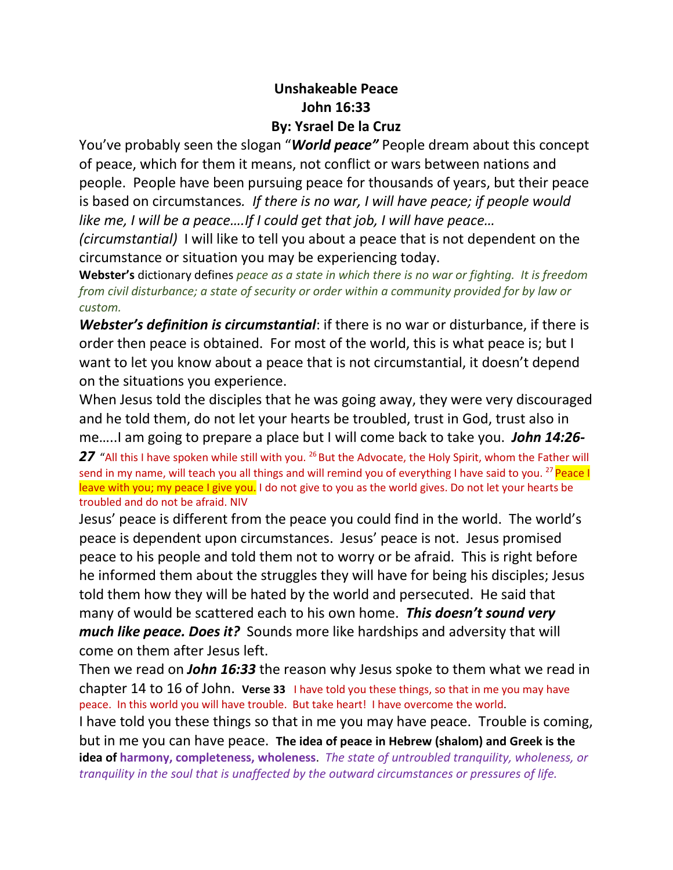## **Unshakeable Peace John 16:33 By: Ysrael De la Cruz**

You've probably seen the slogan "*World peace"* People dream about this concept of peace, which for them it means, not conflict or wars between nations and people. People have been pursuing peace for thousands of years, but their peace is based on circumstances*. If there is no war, I will have peace; if people would like me, I will be a peace….If I could get that job, I will have peace…* 

*(circumstantial)* I will like to tell you about a peace that is not dependent on the circumstance or situation you may be experiencing today.

**Webster's** dictionary defines *peace as a state in which there is no war or fighting. It is freedom from civil disturbance; a state of security or order within a community provided for by law or custom.*

*Webster's definition is circumstantial*: if there is no war or disturbance, if there is order then peace is obtained. For most of the world, this is what peace is; but I want to let you know about a peace that is not circumstantial, it doesn't depend on the situations you experience.

When Jesus told the disciples that he was going away, they were very discouraged and he told them, do not let your hearts be troubled, trust in God, trust also in me…..I am going to prepare a place but I will come back to take you. *John 14:26-*

27 "All this I have spoken while still with you. <sup>26</sup> But the Advocate, the Holy Spirit, whom the Father will send in my name, will teach you all things and will remind you of everything I have said to you. <sup>27</sup> Peace I leave with you; my peace I give you. I do not give to you as the world gives. Do not let your hearts be troubled and do not be afraid. NIV

Jesus' peace is different from the peace you could find in the world. The world's peace is dependent upon circumstances. Jesus' peace is not. Jesus promised peace to his people and told them not to worry or be afraid. This is right before he informed them about the struggles they will have for being his disciples; Jesus told them how they will be hated by the world and persecuted. He said that many of would be scattered each to his own home. *This doesn't sound very much like peace. Does it?* Sounds more like hardships and adversity that will come on them after Jesus left.

Then we read on *John 16:33* the reason why Jesus spoke to them what we read in chapter 14 to 16 of John. **Verse 33** I have told you these things, so that in me you may have peace. In this world you will have trouble. But take heart! I have overcome the world.

I have told you these things so that in me you may have peace. Trouble is coming, but in me you can have peace. **The idea of peace in Hebrew (shalom) and Greek is the idea of harmony, completeness, wholeness**. *The state of untroubled tranquility, wholeness, or tranquility in the soul that is unaffected by the outward circumstances or pressures of life.*